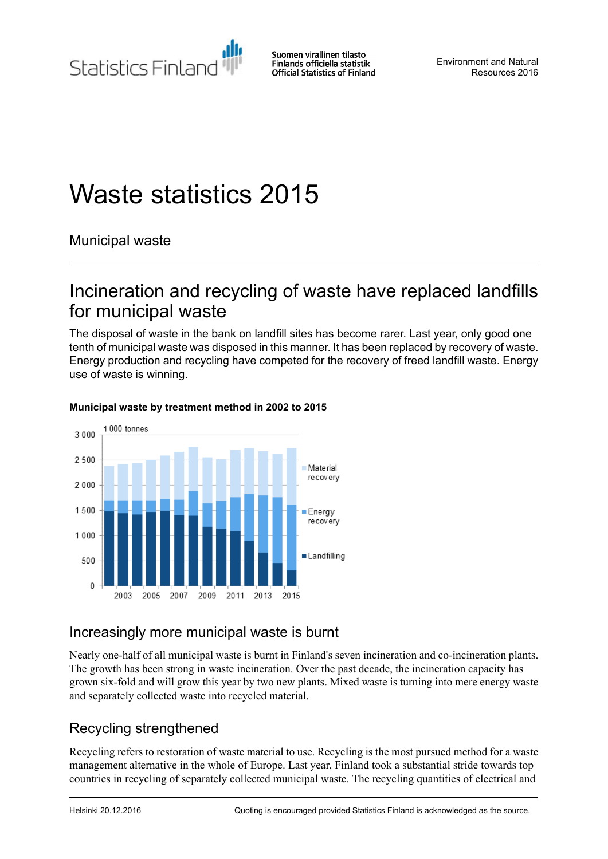Statistics Finland

Suomen virallinen tilasto Finlands officiella statistik **Official Statistics of Finland** 

Environment and Natural Resources 2016

# Waste statistics 2015

Municipal waste

# Incineration and recycling of waste have replaced landfills for municipal waste

The disposal of waste in the bank on landfill sites has become rarer. Last year, only good one tenth of municipal waste was disposed in this manner. It has been replaced by recovery of waste. Energy production and recycling have competed for the recovery of freed landfill waste. Energy use of waste is winning.



#### **Municipal waste by treatment method in 2002 to 2015**

### Increasingly more municipal waste is burnt

Nearly one-half of all municipal waste is burnt in Finland's seven incineration and co-incineration plants. The growth has been strong in waste incineration. Over the past decade, the incineration capacity has grown six-fold and will grow this year by two new plants. Mixed waste is turning into mere energy waste and separately collected waste into recycled material.

## Recycling strengthened

Recycling refers to restoration of waste material to use. Recycling is the most pursued method for a waste management alternative in the whole of Europe. Last year, Finland took a substantial stride towards top countries in recycling of separately collected municipal waste. The recycling quantities of electrical and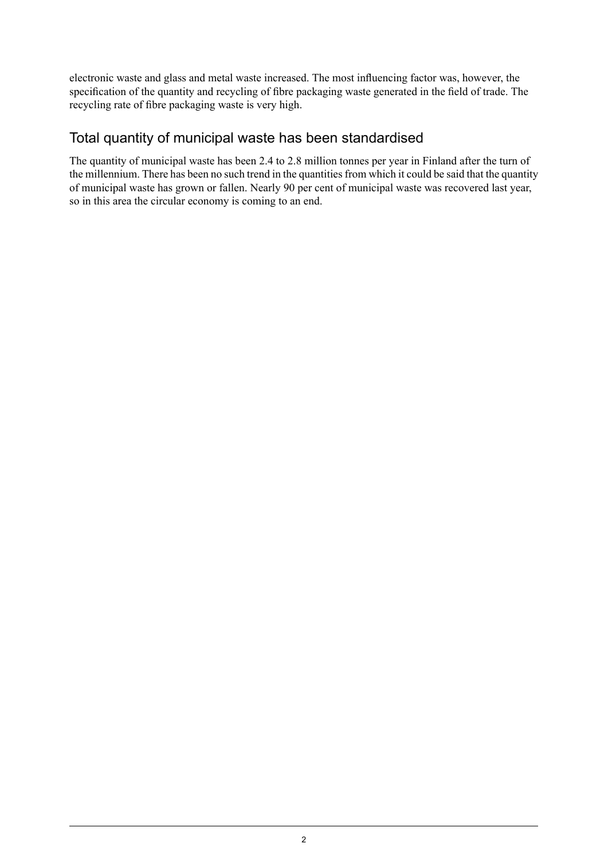electronic waste and glass and metal waste increased. The most influencing factor was, however, the specification of the quantity and recycling of fibre packaging waste generated in the field of trade. The recycling rate of fibre packaging waste is very high.

### Total quantity of municipal waste has been standardised

The quantity of municipal waste has been 2.4 to 2.8 million tonnes per year in Finland after the turn of the millennium. There has been no such trend in the quantities from which it could be said that the quantity of municipal waste has grown or fallen. Nearly 90 per cent of municipal waste was recovered last year, so in this area the circular economy is coming to an end.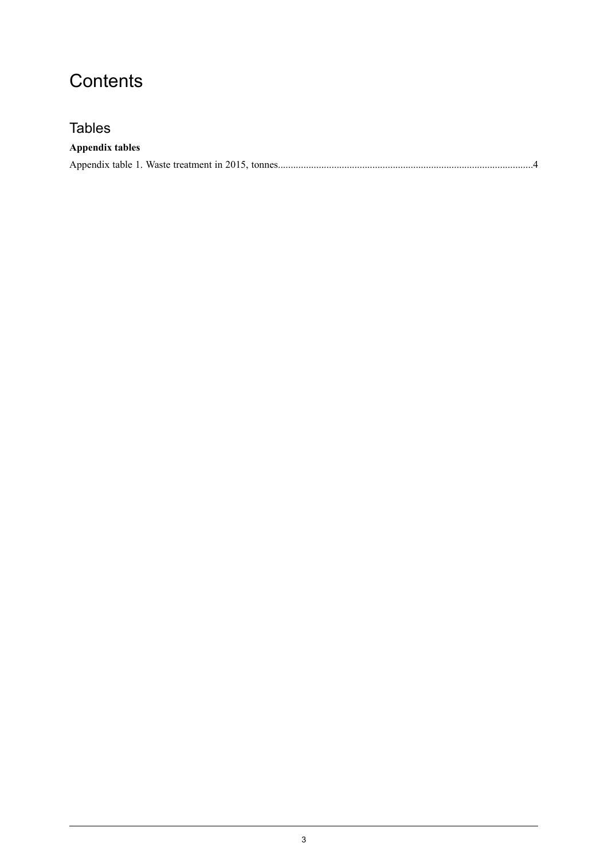# **Contents**

### **Tables**

### **Appendix tables**

|--|--|--|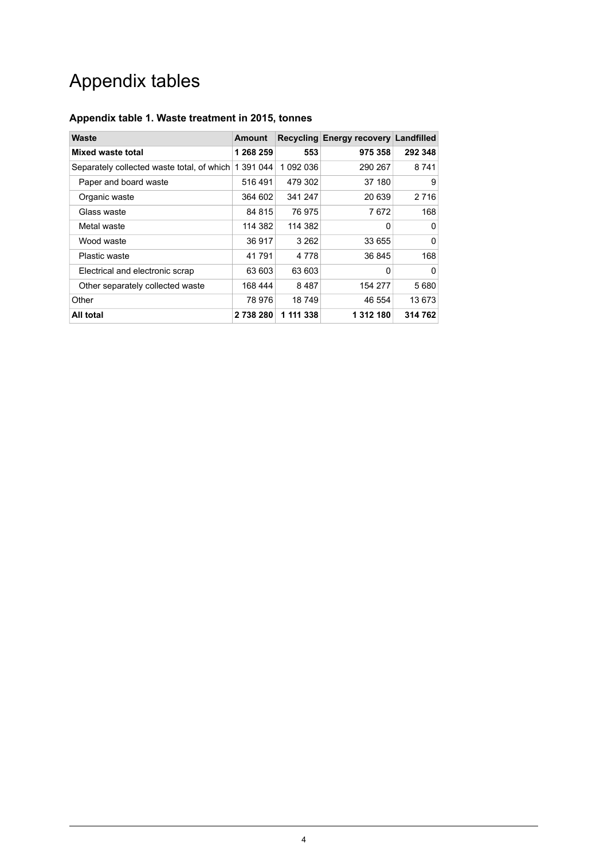# Appendix tables

#### <span id="page-3-0"></span>**Appendix table 1. Waste treatment in 2015, tonnes**

| Waste                                      | <b>Amount</b> |           | Recycling Energy recovery Landfilled |          |
|--------------------------------------------|---------------|-----------|--------------------------------------|----------|
| Mixed waste total                          | 1 268 259     | 553       | 975 358                              | 292 348  |
| Separately collected waste total, of which | 1 391 044     | 1 092 036 | 290 267                              | 8741     |
| Paper and board waste                      | 516 491       | 479 302   | 37 180                               | 9        |
| Organic waste                              | 364 602       | 341 247   | 20 639                               | 2 7 1 6  |
| Glass waste                                | 84 815        | 76 975    | 7672                                 | 168      |
| Metal waste                                | 114 382       | 114 382   | 0                                    | $\Omega$ |
| Wood waste                                 | 36917         | 3 2 6 2   | 33 655                               | 0        |
| Plastic waste                              | 41791         | 4 7 7 8   | 36 845                               | 168      |
| Electrical and electronic scrap            | 63 603        | 63 603    | $\Omega$                             | $\Omega$ |
| Other separately collected waste           | 168 444       | 8487      | 154 277                              | 5680     |
| Other                                      | 78 976        | 18749     | 46 554                               | 13673    |
| All total                                  | 2738280       | 1 111 338 | 1 312 180                            | 314 762  |